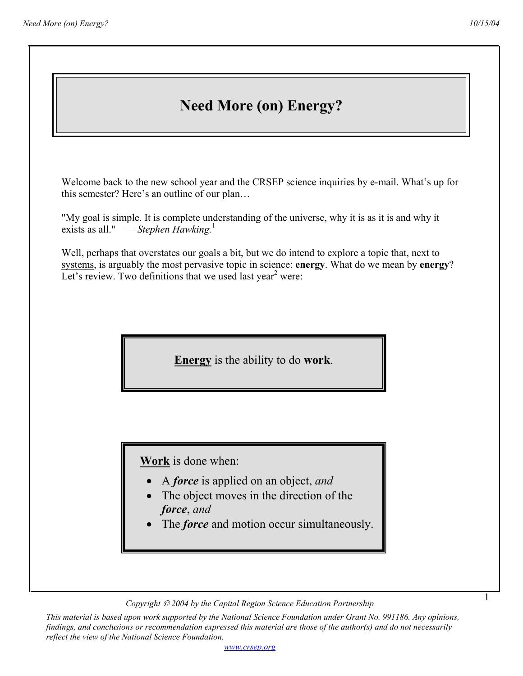1

## **Need More (on) Energy?**

Welcome back to the new school year and the CRSEP science inquiries by e-mail. What's up for this semester? Here's an outline of our plan…

"My goal is simple. It is complete understanding of the universe, why it is as it is and why it exists as all." *— Stephen Hawking.*<sup>1</sup>

Well, perhaps that overstates our goals a bit, but we do intend to explore a topic that, next to systems, is arguably the most pervasive topic in science: **energy**. What do we mean by **energy**? Let's review. Two definitions that we used last year<sup>2</sup> were:

**Energy** is the ability to do **work**.

 **Work** is done when:

- A *force* is applied on an object, *and*
- The object moves in the direction of the *force*, *and*
- The *force* and motion occur simultaneously.

*Copyright 2004 by the Capital Region Science Education Partnership* 

*This material is based upon work supported by the National Science Foundation under Grant No. 991186. Any opinions, findings, and conclusions or recommendation expressed this material are those of the author(s) and do not necessarily reflect the view of the National Science Foundation.*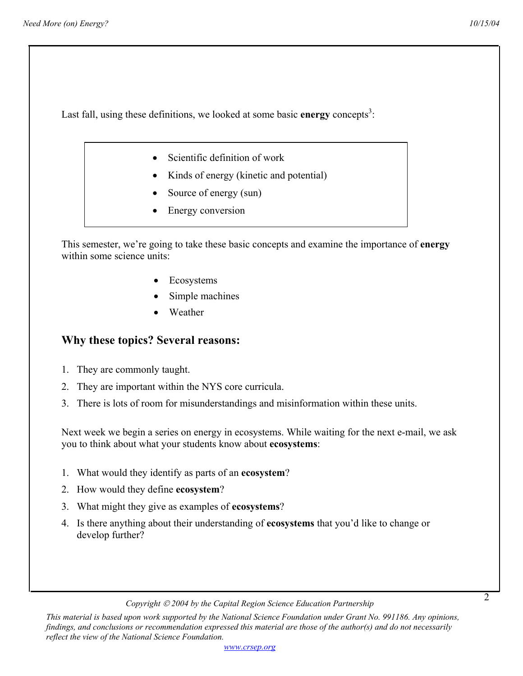2

Last fall, using these definitions, we looked at some basic **energy** concepts<sup>3</sup>:

- Scientific definition of work
- Kinds of energy (kinetic and potential)
- Source of energy (sun)
- Energy conversion

This semester, we're going to take these basic concepts and examine the importance of **energy** within some science units:

- Ecosystems
- Simple machines
- **Weather**

## **Why these topics? Several reasons:**

- 1. They are commonly taught.
- 2. They are important within the NYS core curricula.
- 3. There is lots of room for misunderstandings and misinformation within these units.

Next week we begin a series on energy in ecosystems. While waiting for the next e-mail, we ask you to think about what your students know about **ecosystems**:

- 1. What would they identify as parts of an **ecosystem**?
- 2. How would they define **ecosystem**?
- 3. What might they give as examples of **ecosystems**?
- 4. Is there anything about their understanding of **ecosystems** that you'd like to change or develop further?

*Copyright 2004 by the Capital Region Science Education Partnership* 

*This material is based upon work supported by the National Science Foundation under Grant No. 991186. Any opinions, findings, and conclusions or recommendation expressed this material are those of the author(s) and do not necessarily reflect the view of the National Science Foundation.*